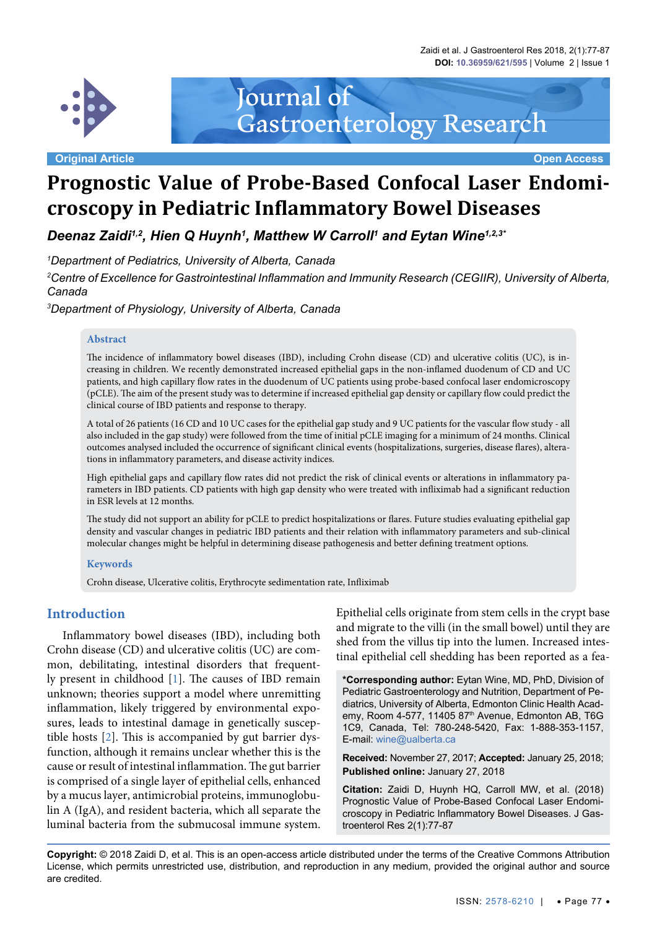Zaidi et al. J Gastroenterol Res 2018, 2(1):77-87 **DOI: 10.36959/621/595** | Volume 2 | Issue 1



**Original Article Open Access**

# **Prognostic Value of Probe-Based Confocal Laser Endomicroscopy in Pediatric Inflammatory Bowel Diseases**

Gastroenterology Research

Journal of

Deenaz Zaidi<sup>1,2</sup>, Hien Q Huynh<sup>1</sup>, Matthew W Carroll<sup>1</sup> and Eytan Wine<sup>1,2,3</sup>'

*1 Department of Pediatrics, University of Alberta, Canada*

*2 Centre of Excellence for Gastrointestinal Inflammation and Immunity Research (CEGIIR), University of Alberta, Canada*

*3 Department of Physiology, University of Alberta, Canada*

#### **Abstract**

The incidence of inflammatory bowel diseases (IBD), including Crohn disease (CD) and ulcerative colitis (UC), is increasing in children. We recently demonstrated increased epithelial gaps in the non-inflamed duodenum of CD and UC patients, and high capillary flow rates in the duodenum of UC patients using probe-based confocal laser endomicroscopy (pCLE). The aim of the present study was to determine if increased epithelial gap density or capillary flow could predict the clinical course of IBD patients and response to therapy.

A total of 26 patients (16 CD and 10 UC cases for the epithelial gap study and 9 UC patients for the vascular flow study - all also included in the gap study) were followed from the time of initial pCLE imaging for a minimum of 24 months. Clinical outcomes analysed included the occurrence of significant clinical events (hospitalizations, surgeries, disease flares), alterations in inflammatory parameters, and disease activity indices.

High epithelial gaps and capillary flow rates did not predict the risk of clinical events or alterations in inflammatory parameters in IBD patients. CD patients with high gap density who were treated with infliximab had a significant reduction in ESR levels at 12 months.

The study did not support an ability for pCLE to predict hospitalizations or flares. Future studies evaluating epithelial gap density and vascular changes in pediatric IBD patients and their relation with inflammatory parameters and sub-clinical molecular changes might be helpful in determining disease pathogenesis and better defining treatment options.

#### **Keywords**

Crohn disease, Ulcerative colitis, Erythrocyte sedimentation rate, Infliximab

## **Introduction**

Inflammatory bowel diseases (IBD), including both Crohn disease (CD) and ulcerative colitis (UC) are common, debilitating, intestinal disorders that frequently present in childhood [\[1\]](#page-6-0). The causes of IBD remain unknown; theories support a model where unremitting inflammation, likely triggered by environmental exposures, leads to intestinal damage in genetically susceptible hosts [[2\]](#page-6-1). This is accompanied by gut barrier dysfunction, although it remains unclear whether this is the cause or result of intestinal inflammation. The gut barrier is comprised of a single layer of epithelial cells, enhanced by a mucus layer, antimicrobial proteins, immunoglobulin A (IgA), and resident bacteria, which all separate the luminal bacteria from the submucosal immune system.

Epithelial cells originate from stem cells in the crypt base and migrate to the villi (in the small bowel) until they are shed from the villus tip into the lumen. Increased intestinal epithelial cell shedding has been reported as a fea-

**\*Corresponding author:** Eytan Wine, MD, PhD, Division of Pediatric Gastroenterology and Nutrition, Department of Pediatrics, University of Alberta, Edmonton Clinic Health Academy, Room 4-577, 11405 87<sup>th</sup> Avenue, Edmonton AB, T6G 1C9, Canada, Tel: 780-248-5420, Fax: 1-888-353-1157, E-mail: wine@ualberta.ca

**Received:** November 27, 2017; **Accepted:** January 25, 2018; **Published online:** January 27, 2018

**Citation:** Zaidi D, Huynh HQ, Carroll MW, et al. (2018) Prognostic Value of Probe-Based Confocal Laser Endomicroscopy in Pediatric Inflammatory Bowel Diseases. J Gastroenterol Res 2(1):77-87

**Copyright:** © 2018 Zaidi D, et al. This is an open-access article distributed under the terms of the Creative Commons Attribution License, which permits unrestricted use, distribution, and reproduction in any medium, provided the original author and source are credited.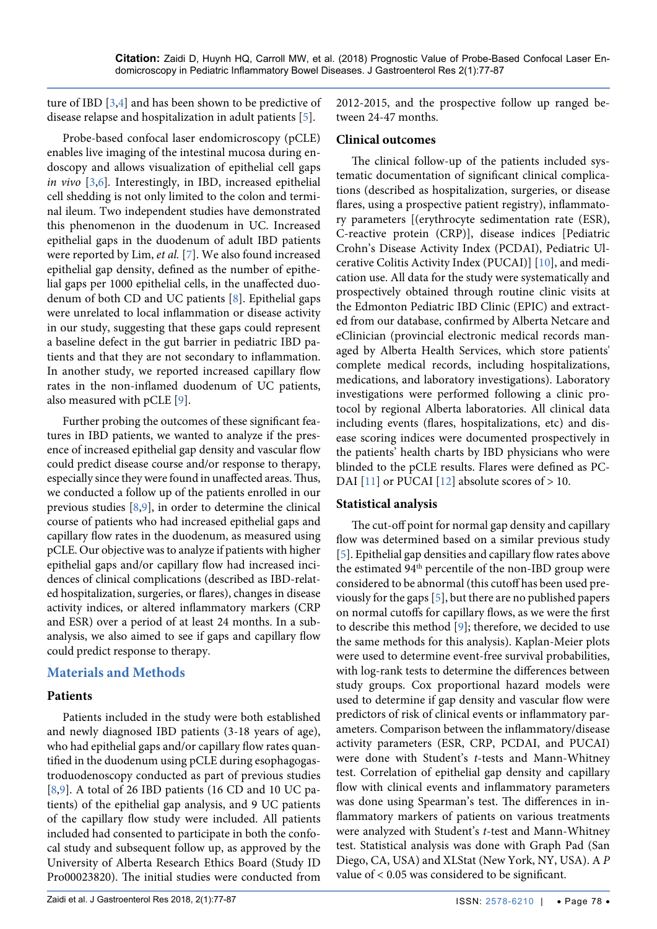ture of IBD [\[3,](#page-6-7)[4](#page-6-8)] and has been shown to be predictive of disease relapse and hospitalization in adult patients [\[5\]](#page-6-5).

Probe-based confocal laser endomicroscopy (pCLE) enables live imaging of the intestinal mucosa during endoscopy and allows visualization of epithelial cell gaps *in vivo* [\[3](#page-6-7),[6](#page-6-9)]*.* Interestingly, in IBD, increased epithelial cell shedding is not only limited to the colon and terminal ileum. Two independent studies have demonstrated this phenomenon in the duodenum in UC. Increased epithelial gaps in the duodenum of adult IBD patients were reported by Lim, *et al.* [[7](#page-6-10)]. We also found increased epithelial gap density, defined as the number of epithelial gaps per 1000 epithelial cells, in the unaffected duodenum of both CD and UC patients [[8](#page-6-11)]. Epithelial gaps were unrelated to local inflammation or disease activity in our study, suggesting that these gaps could represent a baseline defect in the gut barrier in pediatric IBD patients and that they are not secondary to inflammation. In another study, we reported increased capillary flow rates in the non-inflamed duodenum of UC patients, also measured with pCLE [\[9\]](#page-6-6).

Further probing the outcomes of these significant features in IBD patients, we wanted to analyze if the presence of increased epithelial gap density and vascular flow could predict disease course and/or response to therapy, especially since they were found in unaffected areas. Thus, we conducted a follow up of the patients enrolled in our previous studies [[8](#page-6-11)[,9\]](#page-6-6), in order to determine the clinical course of patients who had increased epithelial gaps and capillary flow rates in the duodenum, as measured using pCLE. Our objective was to analyze if patients with higher epithelial gaps and/or capillary flow had increased incidences of clinical complications (described as IBD-related hospitalization, surgeries, or flares), changes in disease activity indices, or altered inflammatory markers (CRP and ESR) over a period of at least 24 months. In a subanalysis, we also aimed to see if gaps and capillary flow could predict response to therapy.

# **Materials and Methods**

## **Patients**

Patients included in the study were both established and newly diagnosed IBD patients (3-18 years of age), who had epithelial gaps and/or capillary flow rates quantified in the duodenum using pCLE during esophagogastroduodenoscopy conducted as part of previous studies [\[8](#page-6-11),[9](#page-6-6)]. A total of 26 IBD patients (16 CD and 10 UC patients) of the epithelial gap analysis, and 9 UC patients of the capillary flow study were included. All patients included had consented to participate in both the confocal study and subsequent follow up, as approved by the University of Alberta Research Ethics Board (Study ID Pro00023820). The initial studies were conducted from 2012-2015, and the prospective follow up ranged between 24-47 months.

## **Clinical outcomes**

The clinical follow-up of the patients included systematic documentation of significant clinical complications (described as hospitalization, surgeries, or disease flares, using a prospective patient registry), inflammatory parameters [(erythrocyte sedimentation rate (ESR), C-reactive protein (CRP)], disease indices [Pediatric Crohn's Disease Activity Index (PCDAI), Pediatric Ulcerative Colitis Activity Index (PUCAI)] [\[10\]](#page-6-2), and medication use. All data for the study were systematically and prospectively obtained through routine clinic visits at the Edmonton Pediatric IBD Clinic (EPIC) and extracted from our database, confirmed by Alberta Netcare and eClinician (provincial electronic medical records managed by Alberta Health Services, which store patients' complete medical records, including hospitalizations, medications, and laboratory investigations). Laboratory investigations were performed following a clinic protocol by regional Alberta laboratories. All clinical data including events (flares, hospitalizations, etc) and disease scoring indices were documented prospectively in the patients' health charts by IBD physicians who were blinded to the pCLE results. Flares were defined as PC-DAI [\[11](#page-6-3)] or PUCAI [[12](#page-6-4)] absolute scores of  $> 10$ .

## **Statistical analysis**

The cut-off point for normal gap density and capillary flow was determined based on a similar previous study [[5\]](#page-6-5). Epithelial gap densities and capillary flow rates above the estimated 94<sup>th</sup> percentile of the non-IBD group were considered to be abnormal (this cutoff has been used previously for the gaps [\[5\]](#page-6-5), but there are no published papers on normal cutoffs for capillary flows, as we were the first to describe this method [\[9](#page-6-6)]; therefore, we decided to use the same methods for this analysis). Kaplan-Meier plots were used to determine event-free survival probabilities, with log-rank tests to determine the differences between study groups. Cox proportional hazard models were used to determine if gap density and vascular flow were predictors of risk of clinical events or inflammatory parameters. Comparison between the inflammatory/disease activity parameters (ESR, CRP, PCDAI, and PUCAI) were done with Student's *t*-tests and Mann-Whitney test. Correlation of epithelial gap density and capillary flow with clinical events and inflammatory parameters was done using Spearman's test. The differences in inflammatory markers of patients on various treatments were analyzed with Student's *t*-test and Mann-Whitney test. Statistical analysis was done with Graph Pad (San Diego, CA, USA) and XLStat (New York, NY, USA). A *P* value of < 0.05 was considered to be significant.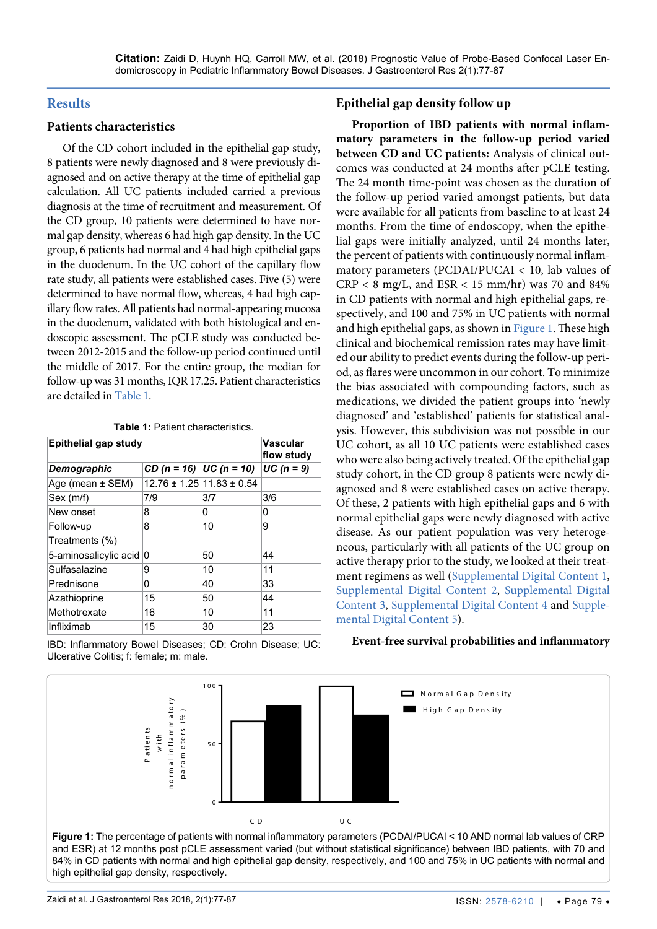#### **Results**

#### **Patients characteristics**

Of the CD cohort included in the epithelial gap study, 8 patients were newly diagnosed and 8 were previously diagnosed and on active therapy at the time of epithelial gap calculation. All UC patients included carried a previous diagnosis at the time of recruitment and measurement. Of the CD group, 10 patients were determined to have normal gap density, whereas 6 had high gap density. In the UC group, 6 patients had normal and 4 had high epithelial gaps in the duodenum. In the UC cohort of the capillary flow rate study, all patients were established cases. Five (5) were determined to have normal flow, whereas, 4 had high capillary flow rates. All patients had normal-appearing mucosa in the duodenum, validated with both histological and endoscopic assessment. The pCLE study was conducted between 2012-2015 and the follow-up period continued until the middle of 2017. For the entire group, the median for follow-up was 31 months, IQR 17.25. Patient characteristics are detailed in [Table 1.](#page-2-1)

<span id="page-2-1"></span>**Table 1:** Patient characteristics.

| <b>Epithelial gap study</b> |                              |                                   | <b>Vascular</b><br>flow study |
|-----------------------------|------------------------------|-----------------------------------|-------------------------------|
| Demographic                 | $CD (n = 16)$ $ UC (n = 10)$ |                                   | $UC (n = 9)$                  |
| Age (mean $\pm$ SEM)        |                              | $12.76 \pm 1.25$ 11.83 $\pm$ 0.54 |                               |
| Sex (m/f)                   | 7/9                          | 3/7                               | 3/6                           |
| New onset                   | 8                            | 0                                 | 0                             |
| Follow-up                   | 8                            | 10                                | 9                             |
| Treatments (%)              |                              |                                   |                               |
| 5-aminosalicylic acid 0     |                              | 50                                | 44                            |
| Sulfasalazine               | 9                            | 10                                | 11                            |
| Prednisone                  | 0                            | 40                                | 33                            |
| Azathioprine                | 15                           | 50                                | 44                            |
| Methotrexate                | 16                           | 10                                | 11                            |
| Infliximab                  | 15                           | 30                                | 23                            |

IBD: Inflammatory Bowel Diseases; CD: Crohn Disease; UC: Ulcerative Colitis; f: female; m: male.

#### **Epithelial gap density follow up**

**Proportion of IBD patients with normal inflammatory parameters in the follow-up period varied between CD and UC patients:** Analysis of clinical outcomes was conducted at 24 months after pCLE testing. The 24 month time-point was chosen as the duration of the follow-up period varied amongst patients, but data were available for all patients from baseline to at least 24 months. From the time of endoscopy, when the epithelial gaps were initially analyzed, until 24 months later, the percent of patients with continuously normal inflammatory parameters (PCDAI/PUCAI < 10, lab values of  $CRP < 8$  mg/L, and  $ESR < 15$  mm/hr) was 70 and 84% in CD patients with normal and high epithelial gaps, respectively, and 100 and 75% in UC patients with normal and high epithelial gaps, as shown in [Figure 1](#page-2-0). These high clinical and biochemical remission rates may have limited our ability to predict events during the follow-up period, as flares were uncommon in our cohort. To minimize the bias associated with compounding factors, such as medications, we divided the patient groups into 'newly diagnosed' and 'established' patients for statistical analysis. However, this subdivision was not possible in our UC cohort, as all 10 UC patients were established cases who were also being actively treated. Of the epithelial gap study cohort, in the CD group 8 patients were newly diagnosed and 8 were established cases on active therapy. Of these, 2 patients with high epithelial gaps and 6 with normal epithelial gaps were newly diagnosed with active disease. As our patient population was very heterogeneous, particularly with all patients of the UC group on active therapy prior to the study, we looked at their treatment regimens as well ([Supplemental Digital Content 1](#page-7-0), [Supplemental Digital Content 2,](#page-8-0) [Supplemental Digital](#page-9-0)  [Content 3](#page-9-0), [Supplemental Digital Content 4](#page-9-1) and [Supple](#page-10-0)[mental Digital Content 5\)](#page-10-0).

#### **Event-free survival probabilities and inflammatory**

<span id="page-2-0"></span>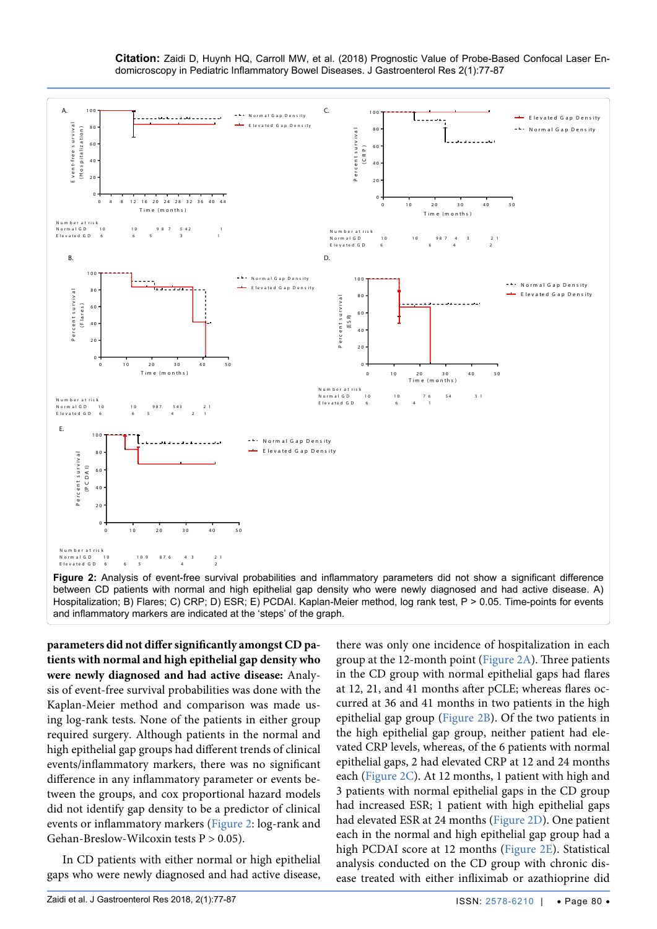

<span id="page-3-0"></span>

between CD patients with normal and high epithelial gap density who were newly diagnosed and had active disease. A) Hospitalization; B) Flares; C) CRP; D) ESR; E) PCDAI. Kaplan-Meier method, log rank test, P > 0.05. Time-points for events and inflammatory markers are indicated at the 'steps' of the graph.

**parameters did not differ significantly amongst CD patients with normal and high epithelial gap density who were newly diagnosed and had active disease:** Analysis of event-free survival probabilities was done with the Kaplan-Meier method and comparison was made using log-rank tests. None of the patients in either group required surgery. Although patients in the normal and high epithelial gap groups had different trends of clinical events/inflammatory markers, there was no significant difference in any inflammatory parameter or events between the groups, and cox proportional hazard models did not identify gap density to be a predictor of clinical events or inflammatory markers ([Figure 2](#page-3-0): log-rank and Gehan-Breslow-Wilcoxin tests  $P > 0.05$ ).

In CD patients with either normal or high epithelial gaps who were newly diagnosed and had active disease,

there was only one incidence of hospitalization in each group at the 12-month point [\(Figure 2A](#page-3-0)). Three patients in the CD group with normal epithelial gaps had flares at 12, 21, and 41 months after pCLE; whereas flares occurred at 36 and 41 months in two patients in the high epithelial gap group [\(Figure 2B\)](#page-3-0). Of the two patients in the high epithelial gap group, neither patient had elevated CRP levels, whereas, of the 6 patients with normal epithelial gaps, 2 had elevated CRP at 12 and 24 months each [\(Figure 2C\)](#page-3-0). At 12 months, 1 patient with high and 3 patients with normal epithelial gaps in the CD group had increased ESR; 1 patient with high epithelial gaps had elevated ESR at 24 months [\(Figure 2D\)](#page-3-0). One patient each in the normal and high epithelial gap group had a high PCDAI score at 12 months [\(Figure 2E\)](#page-3-0). Statistical analysis conducted on the CD group with chronic disease treated with either infliximab or azathioprine did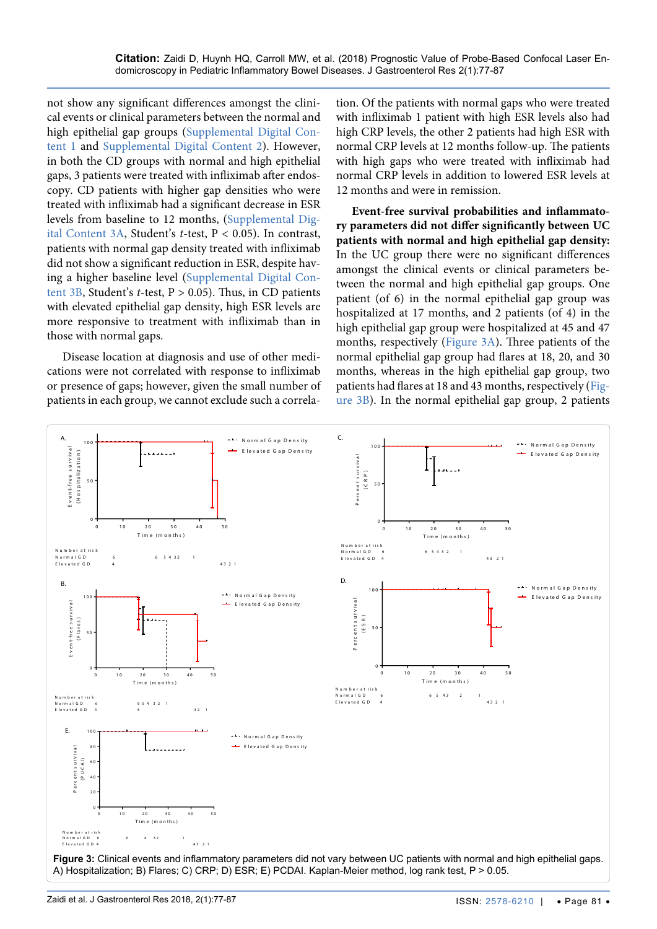not show any significant differences amongst the clinical events or clinical parameters between the normal and high epithelial gap groups ([Supplemental Digital Con](#page-7-0)[tent 1](#page-7-0) and [Supplemental Digital Content 2\)](#page-8-0). However, in both the CD groups with normal and high epithelial gaps, 3 patients were treated with infliximab after endoscopy. CD patients with higher gap densities who were treated with infliximab had a significant decrease in ESR levels from baseline to 12 months, [\(Supplemental Dig](#page-9-0)[ital Content 3A,](#page-9-0) Student's *t*-test, P < 0.05). In contrast, patients with normal gap density treated with infliximab did not show a significant reduction in ESR, despite having a higher baseline level [\(Supplemental Digital Con](#page-9-0)[tent 3B,](#page-9-0) Student's *t*-test, P > 0.05). Thus, in CD patients with elevated epithelial gap density, high ESR levels are more responsive to treatment with infliximab than in those with normal gaps.

Disease location at diagnosis and use of other medications were not correlated with response to infliximab or presence of gaps; however, given the small number of patients in each group, we cannot exclude such a correlation. Of the patients with normal gaps who were treated with infliximab 1 patient with high ESR levels also had high CRP levels, the other 2 patients had high ESR with normal CRP levels at 12 months follow-up. The patients with high gaps who were treated with infliximab had normal CRP levels in addition to lowered ESR levels at 12 months and were in remission.

**Event-free survival probabilities and inflammatory parameters did not differ significantly between UC patients with normal and high epithelial gap density:**  In the UC group there were no significant differences amongst the clinical events or clinical parameters between the normal and high epithelial gap groups. One patient (of 6) in the normal epithelial gap group was hospitalized at 17 months, and 2 patients (of 4) in the high epithelial gap group were hospitalized at 45 and 47 months, respectively ([Figure 3A\)](#page-4-0). Three patients of the normal epithelial gap group had flares at 18, 20, and 30 months, whereas in the high epithelial gap group, two patients had flares at 18 and 43 months, respectively ([Fig](#page-4-0)[ure 3B\)](#page-4-0). In the normal epithelial gap group, 2 patients

<span id="page-4-0"></span>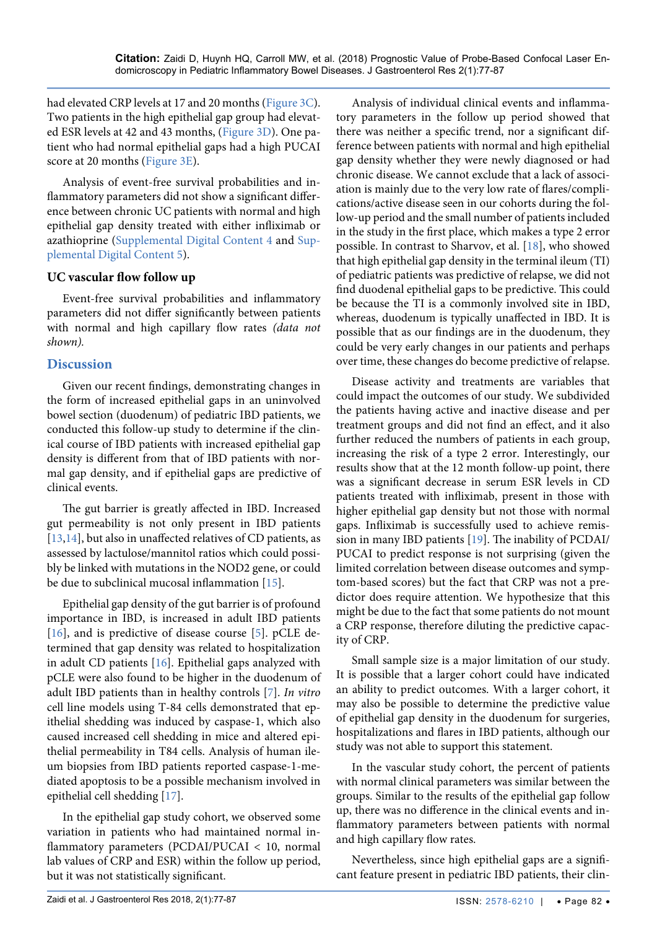had elevated CRP levels at 17 and 20 months [\(Figure 3C](#page-4-0)). Two patients in the high epithelial gap group had elevated ESR levels at 42 and 43 months, [\(Figure 3D\)](#page-4-0). One patient who had normal epithelial gaps had a high PUCAI score at 20 months [\(Figure 3E\)](#page-4-0).

Analysis of event-free survival probabilities and inflammatory parameters did not show a significant difference between chronic UC patients with normal and high epithelial gap density treated with either infliximab or azathioprine [\(Supplemental Digital Content 4](#page-9-1) and [Sup](#page-10-0)[plemental Digital Content 5\)](#page-10-0).

## **UC vascular flow follow up**

Event-free survival probabilities and inflammatory parameters did not differ significantly between patients with normal and high capillary flow rates *(data not shown).*

## **Discussion**

Given our recent findings, demonstrating changes in the form of increased epithelial gaps in an uninvolved bowel section (duodenum) of pediatric IBD patients, we conducted this follow-up study to determine if the clinical course of IBD patients with increased epithelial gap density is different from that of IBD patients with normal gap density, and if epithelial gaps are predictive of clinical events.

The gut barrier is greatly affected in IBD. Increased gut permeability is not only present in IBD patients [\[13](#page-6-14)[,14\]](#page-6-15), but also in unaffected relatives of CD patients, as assessed by lactulose/mannitol ratios which could possibly be linked with mutations in the NOD2 gene, or could be due to subclinical mucosal inflammation [\[15\]](#page-6-16).

Epithelial gap density of the gut barrier is of profound importance in IBD, is increased in adult IBD patients [\[16\]](#page-6-17), and is predictive of disease course [\[5\]](#page-6-5). pCLE determined that gap density was related to hospitalization in adult CD patients [[16](#page-6-17)]. Epithelial gaps analyzed with pCLE were also found to be higher in the duodenum of adult IBD patients than in healthy controls [\[7\]](#page-6-10). *In vitro* cell line models using T-84 cells demonstrated that epithelial shedding was induced by caspase-1, which also caused increased cell shedding in mice and altered epithelial permeability in T84 cells. Analysis of human ileum biopsies from IBD patients reported caspase-1-mediated apoptosis to be a possible mechanism involved in epithelial cell shedding [[17](#page-6-18)].

In the epithelial gap study cohort, we observed some variation in patients who had maintained normal inflammatory parameters (PCDAI/PUCAI < 10, normal lab values of CRP and ESR) within the follow up period, but it was not statistically significant.

Analysis of individual clinical events and inflammatory parameters in the follow up period showed that there was neither a specific trend, nor a significant difference between patients with normal and high epithelial gap density whether they were newly diagnosed or had chronic disease. We cannot exclude that a lack of association is mainly due to the very low rate of flares/complications/active disease seen in our cohorts during the follow-up period and the small number of patients included in the study in the first place, which makes a type 2 error possible. In contrast to Sharvov, et al. [[18](#page-6-12)], who showed that high epithelial gap density in the terminal ileum (TI) of pediatric patients was predictive of relapse, we did not find duodenal epithelial gaps to be predictive. This could be because the TI is a commonly involved site in IBD, whereas, duodenum is typically unaffected in IBD. It is possible that as our findings are in the duodenum, they could be very early changes in our patients and perhaps over time, these changes do become predictive of relapse.

Disease activity and treatments are variables that could impact the outcomes of our study. We subdivided the patients having active and inactive disease and per treatment groups and did not find an effect, and it also further reduced the numbers of patients in each group, increasing the risk of a type 2 error. Interestingly, our results show that at the 12 month follow-up point, there was a significant decrease in serum ESR levels in CD patients treated with infliximab, present in those with higher epithelial gap density but not those with normal gaps. Infliximab is successfully used to achieve remission in many IBD patients [\[19\]](#page-6-13). The inability of PCDAI/ PUCAI to predict response is not surprising (given the limited correlation between disease outcomes and symptom-based scores) but the fact that CRP was not a predictor does require attention. We hypothesize that this might be due to the fact that some patients do not mount a CRP response, therefore diluting the predictive capacity of CRP.

Small sample size is a major limitation of our study. It is possible that a larger cohort could have indicated an ability to predict outcomes. With a larger cohort, it may also be possible to determine the predictive value of epithelial gap density in the duodenum for surgeries, hospitalizations and flares in IBD patients, although our study was not able to support this statement.

In the vascular study cohort, the percent of patients with normal clinical parameters was similar between the groups. Similar to the results of the epithelial gap follow up, there was no difference in the clinical events and inflammatory parameters between patients with normal and high capillary flow rates.

Nevertheless, since high epithelial gaps are a significant feature present in pediatric IBD patients, their clin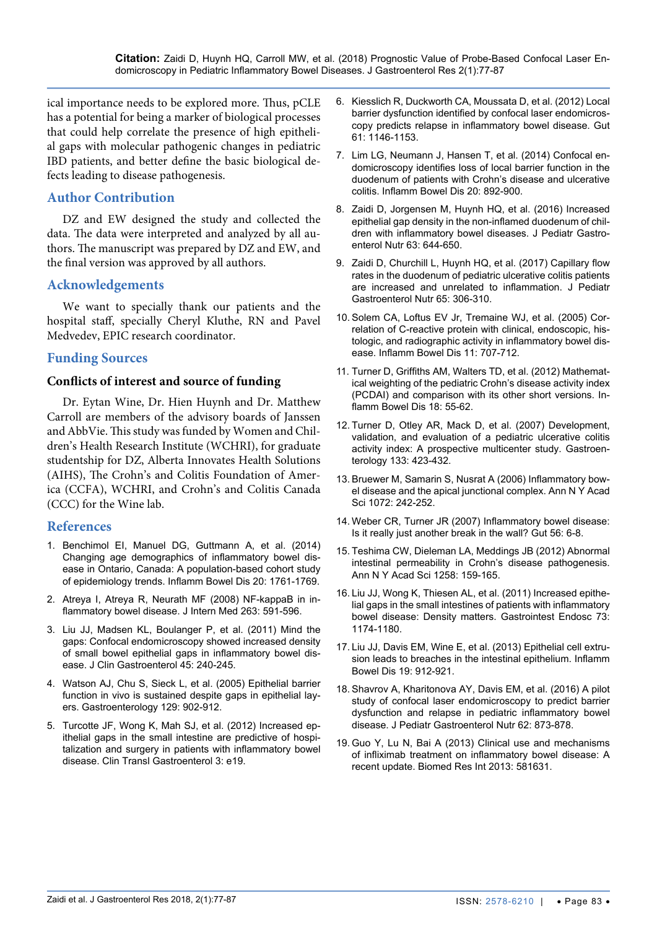ical importance needs to be explored more. Thus, pCLE has a potential for being a marker of biological processes that could help correlate the presence of high epithelial gaps with molecular pathogenic changes in pediatric IBD patients, and better define the basic biological defects leading to disease pathogenesis.

# **Author Contribution**

DZ and EW designed the study and collected the data. The data were interpreted and analyzed by all authors. The manuscript was prepared by DZ and EW, and the final version was approved by all authors.

## **Acknowledgements**

We want to specially thank our patients and the hospital staff, specially Cheryl Kluthe, RN and Pavel Medvedev, EPIC research coordinator.

## **Funding Sources**

#### **Conflicts of interest and source of funding**

Dr. Eytan Wine, Dr. Hien Huynh and Dr. Matthew Carroll are members of the advisory boards of Janssen and AbbVie. This study was funded by Women and Children's Health Research Institute (WCHRI), for graduate studentship for DZ, Alberta Innovates Health Solutions (AIHS), The Crohn's and Colitis Foundation of America (CCFA), WCHRI, and Crohn's and Colitis Canada (CCC) for the Wine lab.

#### **References**

- <span id="page-6-0"></span>1. [Benchimol EI, Manuel DG, Guttmann A, et al. \(2014\)](https://www.ncbi.nlm.nih.gov/pubmed/25159453)  [Changing age demographics of inflammatory bowel dis](https://www.ncbi.nlm.nih.gov/pubmed/25159453)[ease in Ontario, Canada: A population-based cohort study](https://www.ncbi.nlm.nih.gov/pubmed/25159453)  [of epidemiology trends. Inflamm Bowel Dis 20: 1761-1769.](https://www.ncbi.nlm.nih.gov/pubmed/25159453)
- <span id="page-6-1"></span>2. [Atreya I, Atreya R, Neurath MF \(2008\) NF-kappaB in in](https://www.ncbi.nlm.nih.gov/pubmed/18479258)[flammatory bowel disease. J Intern Med 263: 591-596.](https://www.ncbi.nlm.nih.gov/pubmed/18479258)
- <span id="page-6-7"></span>3. [Liu JJ, Madsen KL, Boulanger P, et al. \(2011\) Mind the](https://www.ncbi.nlm.nih.gov/pubmed/21030873)  [gaps: Confocal endomicroscopy showed increased density](https://www.ncbi.nlm.nih.gov/pubmed/21030873)  [of small bowel epithelial gaps in inflammatory bowel dis](https://www.ncbi.nlm.nih.gov/pubmed/21030873)[ease. J Clin Gastroenterol 45: 240-245.](https://www.ncbi.nlm.nih.gov/pubmed/21030873)
- <span id="page-6-8"></span>4. [Watson AJ, Chu S, Sieck L, et al. \(2005\) Epithelial barrier](https://www.ncbi.nlm.nih.gov/pubmed/16143130)  [function in vivo is sustained despite gaps in epithelial lay](https://www.ncbi.nlm.nih.gov/pubmed/16143130)[ers. Gastroenterology 129: 902-912.](https://www.ncbi.nlm.nih.gov/pubmed/16143130)
- <span id="page-6-5"></span>5. [Turcotte JF, Wong K, Mah SJ, et al. \(2012\) Increased ep](https://www.ncbi.nlm.nih.gov/pmc/articles/PMC3412678/)[ithelial gaps in the small intestine are predictive of hospi](https://www.ncbi.nlm.nih.gov/pmc/articles/PMC3412678/)[talization and surgery in patients with inflammatory bowel](https://www.ncbi.nlm.nih.gov/pmc/articles/PMC3412678/)  [disease. Clin Transl Gastroenterol 3: e19.](https://www.ncbi.nlm.nih.gov/pmc/articles/PMC3412678/)
- <span id="page-6-9"></span>6. [Kiesslich R, Duckworth CA, Moussata D, et al. \(2012\) Local](https://www.ncbi.nlm.nih.gov/pubmed/22115910)  [barrier dysfunction identified by confocal laser endomicros](https://www.ncbi.nlm.nih.gov/pubmed/22115910)[copy predicts relapse in inflammatory bowel disease. Gut](https://www.ncbi.nlm.nih.gov/pubmed/22115910)  [61: 1146-1153.](https://www.ncbi.nlm.nih.gov/pubmed/22115910)
- <span id="page-6-10"></span>7. [Lim LG, Neumann J, Hansen T, et al. \(2014\) Confocal en](https://www.ncbi.nlm.nih.gov/pubmed/24691113)[domicroscopy identifies loss of local barrier function in the](https://www.ncbi.nlm.nih.gov/pubmed/24691113)  [duodenum of patients with Crohn's disease and ulcerative](https://www.ncbi.nlm.nih.gov/pubmed/24691113)  [colitis. Inflamm Bowel Dis 20: 892-900.](https://www.ncbi.nlm.nih.gov/pubmed/24691113)
- <span id="page-6-11"></span>8. [Zaidi D, Jorgensen M, Huynh HQ, et al.](https://www.ncbi.nlm.nih.gov/pubmed/26933801) (2016) Increased [epithelial gap density in the non-inflamed duodenum of chil](https://www.ncbi.nlm.nih.gov/pubmed/26933801)[dren with inflammatory bowel diseases. J Pediatr Gastro](https://www.ncbi.nlm.nih.gov/pubmed/26933801)[enterol Nutr 63: 644-650.](https://www.ncbi.nlm.nih.gov/pubmed/26933801)
- <span id="page-6-6"></span>9. [Zaidi D, Churchill L, Huynh HQ, et al. \(2017\) Capillary flow](https://www.ncbi.nlm.nih.gov/pubmed/28045777)  [rates in the duodenum of pediatric ulcerative colitis patients](https://www.ncbi.nlm.nih.gov/pubmed/28045777)  [are increased and unrelated to inflammation. J Pediatr](https://www.ncbi.nlm.nih.gov/pubmed/28045777)  [Gastroenterol Nutr 65: 306-310.](https://www.ncbi.nlm.nih.gov/pubmed/28045777)
- <span id="page-6-2"></span>10. [Solem CA, Loftus EV Jr, Tremaine WJ, et al. \(2005\) Cor](https://www.ncbi.nlm.nih.gov/pubmed/16043984)[relation of C-reactive protein with clinical, endoscopic, his](https://www.ncbi.nlm.nih.gov/pubmed/16043984)[tologic, and radiographic activity in inflammatory bowel dis](https://www.ncbi.nlm.nih.gov/pubmed/16043984)[ease. Inflamm Bowel Dis 11: 707-712.](https://www.ncbi.nlm.nih.gov/pubmed/16043984)
- <span id="page-6-3"></span>11. [Turner D, Griffiths AM, Walters TD, et al. \(2012\) Mathemat](https://www.ncbi.nlm.nih.gov/pubmed/21351206)[ical weighting of the pediatric Crohn's disease activity index](https://www.ncbi.nlm.nih.gov/pubmed/21351206)  [\(PCDAI\) and comparison with its other short versions. In](https://www.ncbi.nlm.nih.gov/pubmed/21351206)[flamm Bowel Dis 18: 55-62.](https://www.ncbi.nlm.nih.gov/pubmed/21351206)
- <span id="page-6-4"></span>12. [Turner D, Otley AR, Mack D, et al. \(2007\) Development,](https://www.ncbi.nlm.nih.gov/pubmed/17681163)  [validation, and evaluation of a pediatric ulcerative colitis](https://www.ncbi.nlm.nih.gov/pubmed/17681163)  [activity index: A prospective multicenter study. Gastroen](https://www.ncbi.nlm.nih.gov/pubmed/17681163)[terology 133: 423-432.](https://www.ncbi.nlm.nih.gov/pubmed/17681163)
- <span id="page-6-14"></span>13. [Bruewer M, Samarin S, Nusrat A \(2006\) Inflammatory bow](https://www.ncbi.nlm.nih.gov/pubmed/17057204)[el disease and the apical junctional complex. Ann N Y Acad](https://www.ncbi.nlm.nih.gov/pubmed/17057204)  [Sci 1072: 242-252.](https://www.ncbi.nlm.nih.gov/pubmed/17057204)
- <span id="page-6-15"></span>14. [Weber CR, Turner JR \(2007\) Inflammatory bowel disease:](https://www.ncbi.nlm.nih.gov/pubmed/17172583)  [Is it really just another break in the wall? Gut 56: 6-8.](https://www.ncbi.nlm.nih.gov/pubmed/17172583)
- <span id="page-6-16"></span>15. [Teshima CW, Dieleman LA, Meddings JB \(2012\) Abnormal](https://www.ncbi.nlm.nih.gov/pubmed/22731729)  [intestinal permeability in Crohn's disease pathogenesis.](https://www.ncbi.nlm.nih.gov/pubmed/22731729)  [Ann N Y Acad Sci 1258: 159-165.](https://www.ncbi.nlm.nih.gov/pubmed/22731729)
- <span id="page-6-17"></span>16. [Liu JJ, Wong K, Thiesen AL, et al. \(2011\) Increased epithe](https://www.ncbi.nlm.nih.gov/pubmed/21396639)[lial gaps in the small intestines of patients with inflammatory](https://www.ncbi.nlm.nih.gov/pubmed/21396639)  [bowel disease: Density matters. Gastrointest Endosc 73:](https://www.ncbi.nlm.nih.gov/pubmed/21396639)  [1174-1180.](https://www.ncbi.nlm.nih.gov/pubmed/21396639)
- <span id="page-6-18"></span>17. [Liu JJ, Davis EM, Wine E, et al. \(2013\) Epithelial cell extru](https://www.ncbi.nlm.nih.gov/pubmed/23511029)[sion leads to breaches in the intestinal epithelium. Inflamm](https://www.ncbi.nlm.nih.gov/pubmed/23511029)  [Bowel Dis 19: 912-921.](https://www.ncbi.nlm.nih.gov/pubmed/23511029)
- <span id="page-6-12"></span>18. [Shavrov A, Kharitonova AY, Davis EM, et al. \(2016\) A pilot](https://www.ncbi.nlm.nih.gov/pubmed/26513619)  [study of confocal laser endomicroscopy to predict barrier](https://www.ncbi.nlm.nih.gov/pubmed/26513619)  [dysfunction and relapse in pediatric inflammatory bowel](https://www.ncbi.nlm.nih.gov/pubmed/26513619)  [disease. J Pediatr Gastroenterol Nutr 62: 873-878.](https://www.ncbi.nlm.nih.gov/pubmed/26513619)
- <span id="page-6-13"></span>19. [Guo Y, Lu N, Bai A \(2013\) Clinical use and mechanisms](https://www.ncbi.nlm.nih.gov/pmc/articles/PMC3581271/)  [of infliximab treatment on inflammatory bowel disease: A](https://www.ncbi.nlm.nih.gov/pmc/articles/PMC3581271/)  [recent update. Biomed Res Int 2013: 581631.](https://www.ncbi.nlm.nih.gov/pmc/articles/PMC3581271/)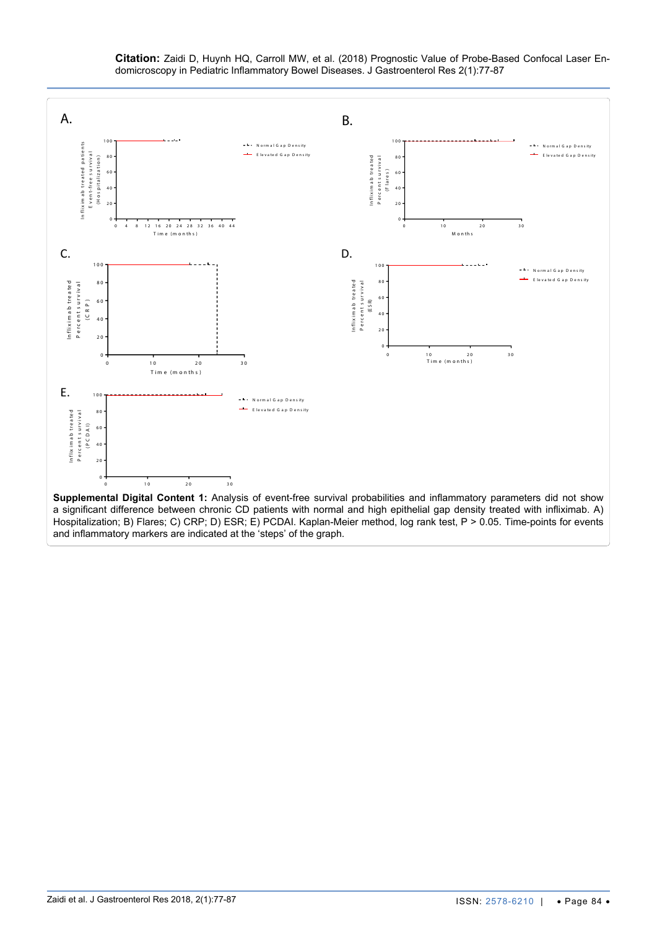

<span id="page-7-0"></span>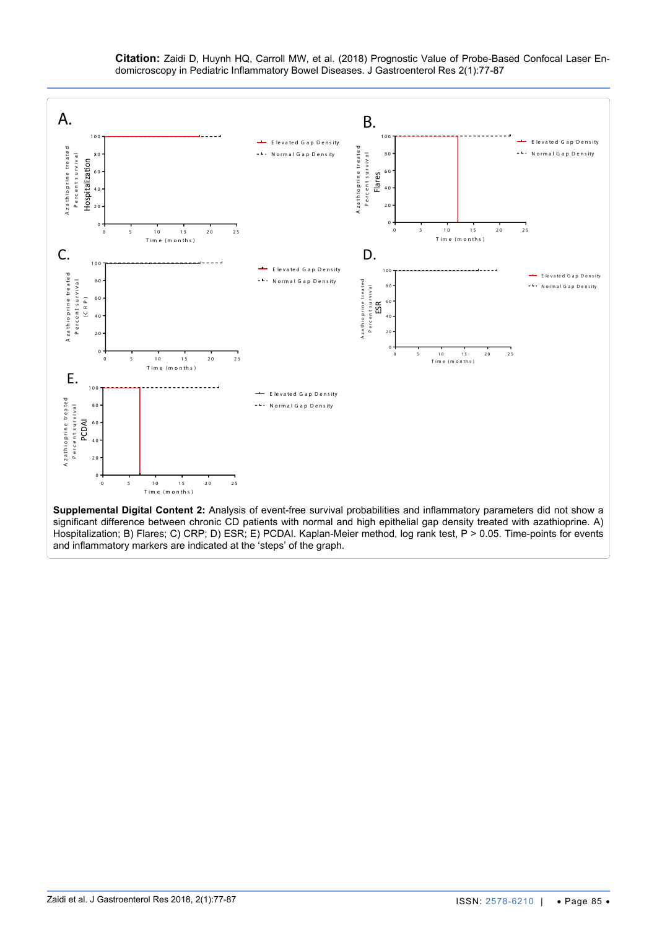**Citation:** Zaidi D, Huynh HQ, Carroll MW, et al. (2018) Prognostic Value of Probe-Based Confocal Laser Endomicroscopy in Pediatric Inflammatory Bowel Diseases. J Gastroenterol Res 2(1):77-87

<span id="page-8-0"></span>

ISSN: 2578-6210 | • Page 85 •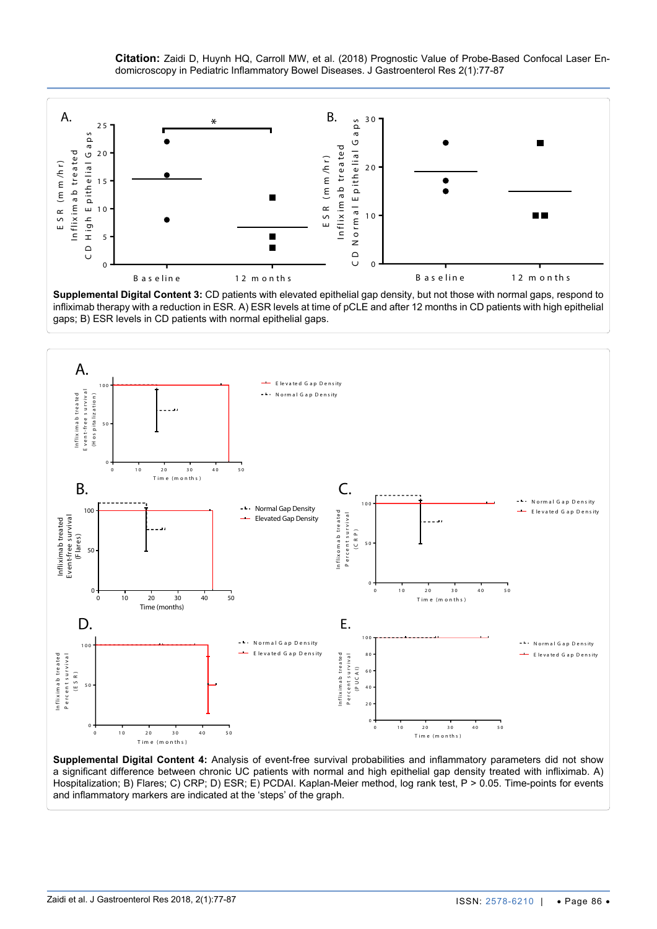**Citation:** Zaidi D, Huynh HQ, Carroll MW, et al. (2018) Prognostic Value of Probe-Based Confocal Laser Endomicroscopy in Pediatric Inflammatory Bowel Diseases. J Gastroenterol Res 2(1):77-87

<span id="page-9-0"></span>

**Supplemental Digital Content 3:** CD patients with elevated epithelial gap density, but not those with normal gaps, respond to infliximab therapy with a reduction in ESR. A) ESR levels at time of pCLE and after 12 months in CD patients with high epithelial gaps; B) ESR levels in CD patients with normal epithelial gaps.

<span id="page-9-1"></span>

**Supplemental Digital Content 4:** Analysis of event-free survival probabilities and inflammatory parameters did not show a significant difference between chronic UC patients with normal and high epithelial gap density treated with infliximab. A) Hospitalization; B) Flares; C) CRP; D) ESR; E) PCDAI. Kaplan-Meier method, log rank test, P > 0.05. Time-points for events and inflammatory markers are indicated at the 'steps' of the graph.